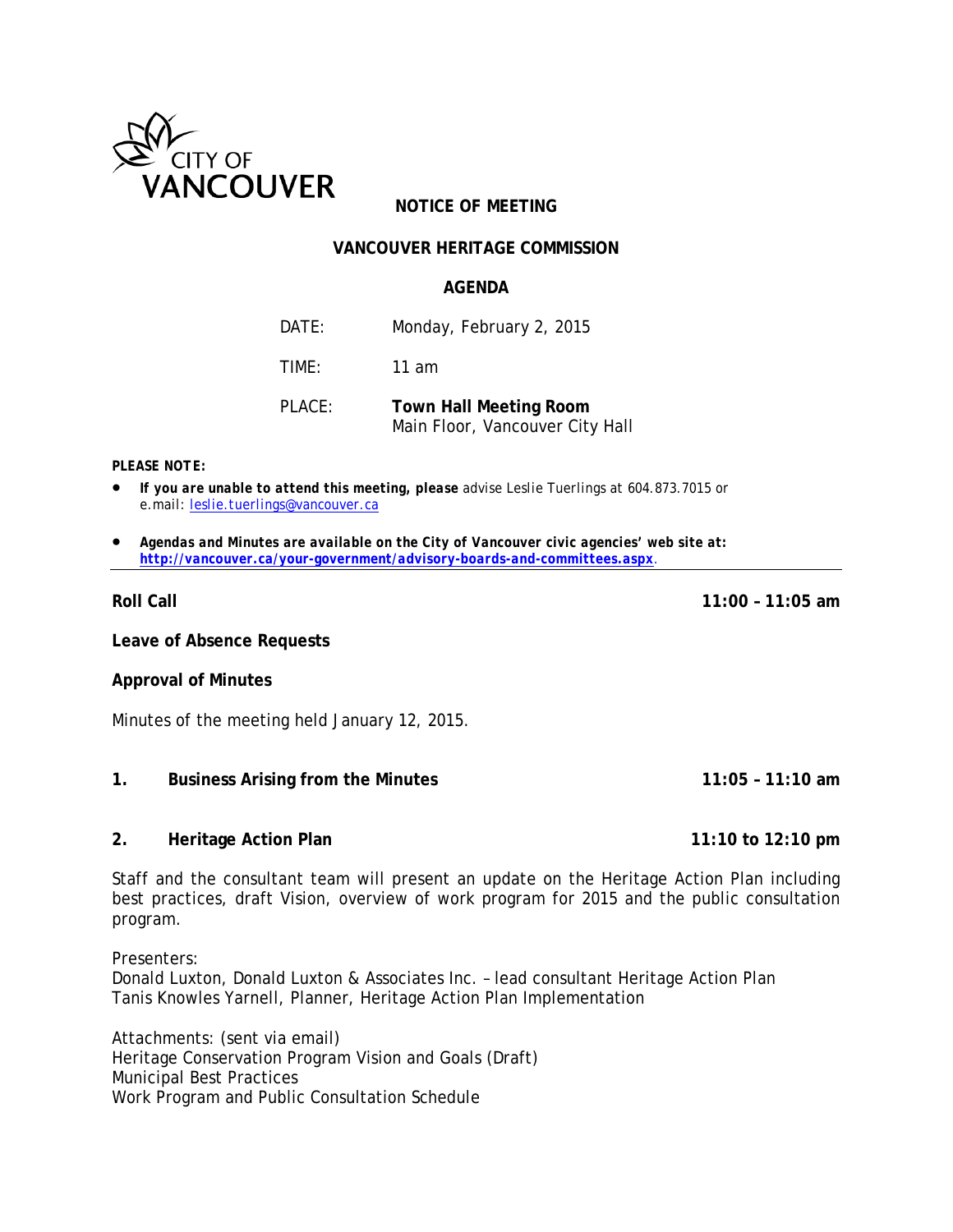

# **NOTICE OF MEETING**

## **VANCOUVER HERITAGE COMMISSION**

### **AGENDA**

DATE: Monday, February 2, 2015

TIME: 11 am

PLACE: **Town Hall Meeting Room** Main Floor, Vancouver City Hall

#### *PLEASE NOTE:*

- *If you are unable to attend this meeting, please advise Leslie Tuerlings at 604.873.7015 or e.mail: [leslie.tuerlings@vancouver.ca](mailto:leslie.tuerlings@vancouver.ca)*
- *Agendas and Minutes are available on the City of Vancouver civic agencies' web site at: <http://vancouver.ca/your-government/advisory-boards-and-committees.aspx>*.

**Roll Call 11:00 – 11:05 am**

**Leave of Absence Requests**

### **Approval of Minutes**

Minutes of the meeting held January 12, 2015.

#### **1. Business Arising from the Minutes 11:05 – 11:10 am**

#### **2. Heritage Action Plan 11:10 to 12:10 pm**

Staff and the consultant team will present an update on the Heritage Action Plan including best practices, draft Vision, overview of work program for 2015 and the public consultation program.

Presenters: Donald Luxton, Donald Luxton & Associates Inc. – lead consultant Heritage Action Plan Tanis Knowles Yarnell, Planner, Heritage Action Plan Implementation

Attachments: (sent via email) Heritage Conservation Program Vision and Goals (Draft) Municipal Best Practices Work Program and Public Consultation Schedule